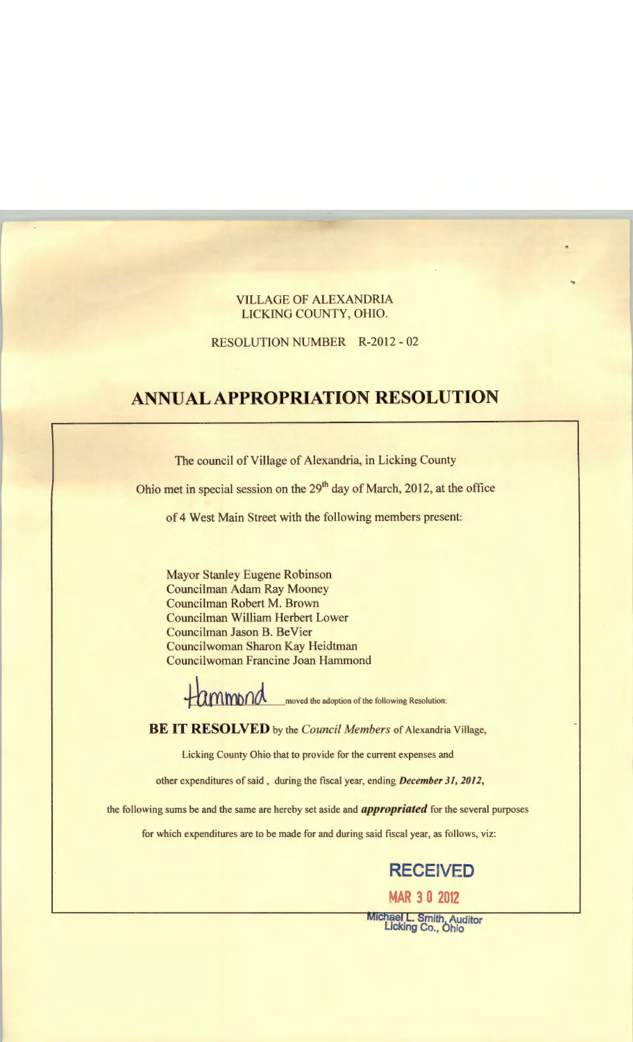#### VILLAGE OF ALEXANDRIA LICKING COUNTY, OHIO.

RESOLUTION NUMBER R-2012 - 02

# **ANNUAL APPROPRIATION RESOLUTION**

The council of Village of Alexandria, in Licking County

Ohio met in special session on the 29<sup>th</sup> day of March, 2012, at the office

of 4 West Main Street with the following members present:

Mayor Stanley Eugene Robinson Councilman Adam Ray Mooney Councilman Robert M. Brown Councilman William Herbert Lower Councilman Jason B. BeVier Councilwoman Sharon Kay Heidtman Councilwoman Francine Joan Hammond

**the moved the adoption of the following Resolution:** 

**BE IT RESOLVED** by the *Council Members* of Alexandria Village,

Licking County Ohio that to provide for the current expenses and

other expenditures of said, during the fiscal year, ending December 31, 2012,

the following sums be and the same are hereby set aside and *appropriated* for the several purposes

for which expenditures are to be made for and during said fiscal year, as follows, viz:

# **RECEIVED**

**MAR 3 0 2012** 

Michael L. Smith, Auditor<br>Licking Co., Ohio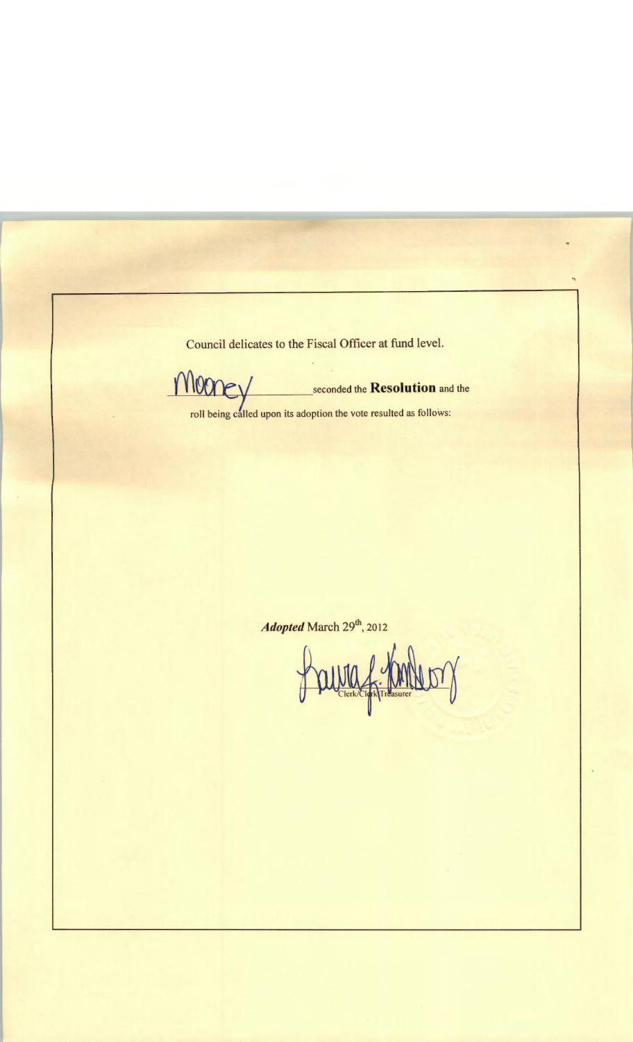Council delicates to the Fiscal Officer at fund level.

money seconded the Resolution and the

roll being called upon its adoption the vote resulted as follows:

*Adopted March 29<sup>th</sup>*, 2012

Paura f. m  $\mathbb{Z}$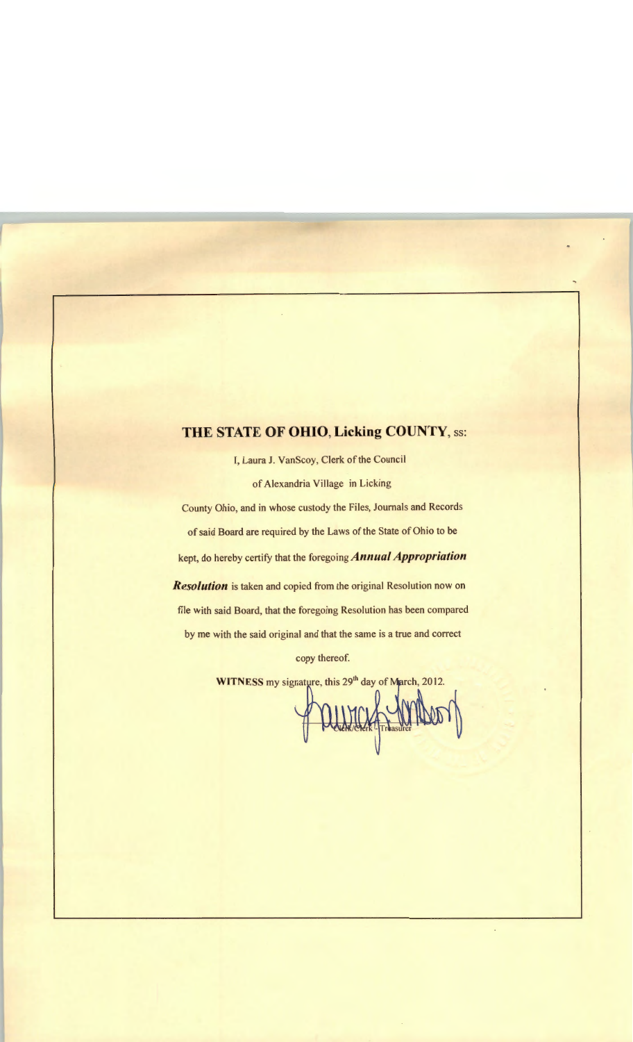## **THE STATE OF OHIO, Licking COUNTY,** ss:

I, Laura J. VanScoy, Clerk of the Council of Alexandria Village in Licking

County Ohio, and in whose custody the Files, Journals and Records of said Board are required by the Laws of the State of Ohio to be kept, do hereby certify that the foregoing *Annual Appropriation Resolution* is taken and copied from the original Resolution now on file with said Board, that the foregoing Resolution has been compared by me with the said original and that the same is a true and correct

copy thereof.

**WITNESS** my signature, this 29<sup>th</sup> day of

PUNICK SMILLO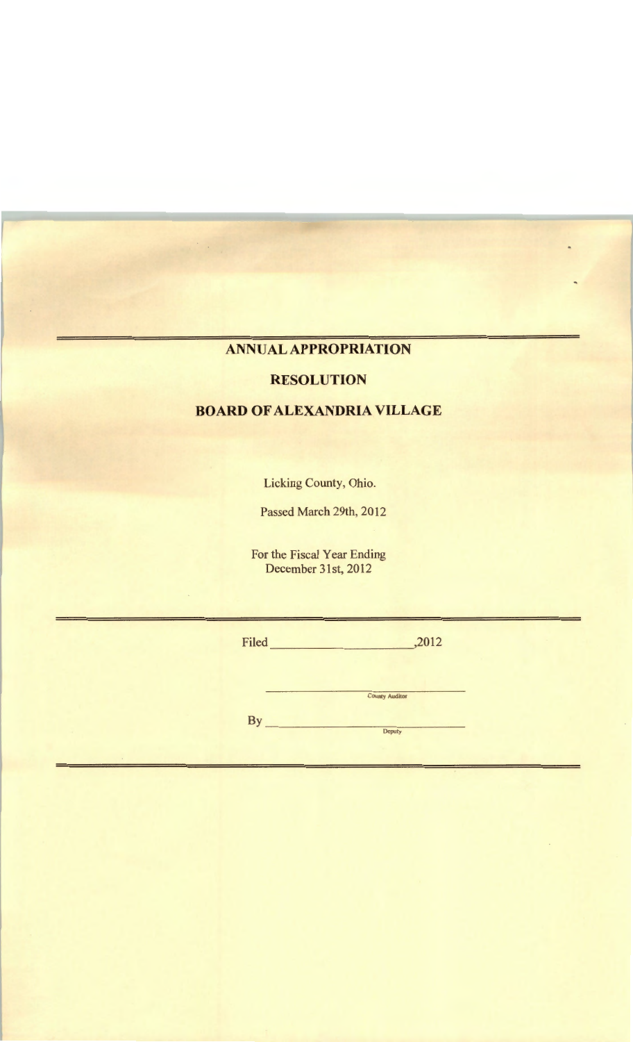## **ANNUAL APPROPRIATION**

#### **RESOLUTION**

### **BOARD OF ALEXANDRIA VILLAGE**

Licking County, Ohio.

Passed March 29th, 2012

For the Fiscal Year Ending December 31st, 2012

|        | Filed     | ,2012                 |  |
|--------|-----------|-----------------------|--|
|        | <b>By</b> | <b>County Auditor</b> |  |
| $\sim$ |           | <b>Deputy</b>         |  |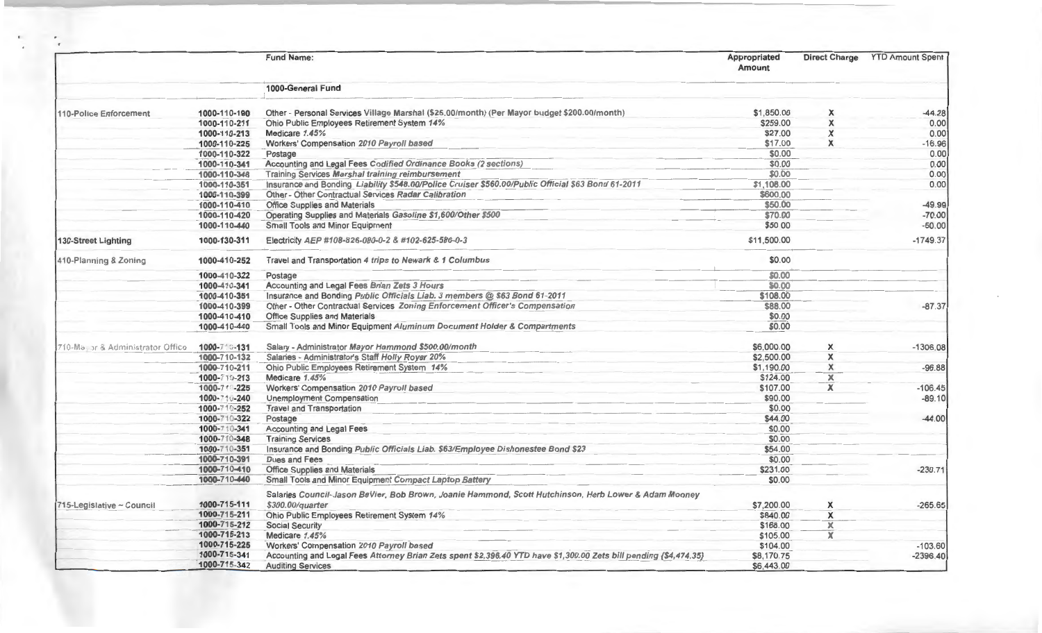|                                   |              | <b>Fund Name:</b>                                                                                                 | Appropriated<br>Amount | <b>Direct Charge</b>    | <b>YTD Amount Spent</b> |
|-----------------------------------|--------------|-------------------------------------------------------------------------------------------------------------------|------------------------|-------------------------|-------------------------|
|                                   |              | 1000-General Fund                                                                                                 |                        |                         |                         |
| 110-Police Enforcement            | 1000-110-190 | Other - Personal Services Village Marshal (\$25.00/month) (Per Mayor budget \$200.00/month)                       | \$1,850.00             | X                       | $-44.28$                |
|                                   | 1000-110-211 | Ohio Public Employees Retirement System 14%                                                                       | \$259.00               | X                       | 0.00                    |
|                                   | 1000-110-213 | Medicare 1.45%                                                                                                    | \$27.00                | X                       | 0.00                    |
|                                   | 1000-110-225 | Workers' Compensation 2010 Payroll based                                                                          | \$17.00                | X                       | $-16.96$                |
|                                   | 1000-110-322 | Postage                                                                                                           | \$0.00                 |                         | 0.00                    |
|                                   | 1000-110-341 | Accounting and Legal Fees Codified Ordinance Books (2 sections)                                                   | \$0.00                 |                         | 0.00                    |
|                                   | 1000-110-348 | <b>Training Services Marshal training reimbursement</b>                                                           | \$0.00                 |                         | 0.00                    |
|                                   | 1000-110-351 | Insurance and Bonding Liability \$548.00/Police Cruiser \$560.00/Public Official \$63 Bond 61-2011                | \$1,108.00             |                         | 0.00                    |
|                                   | 1000-110-399 | Other - Other Contractual Services Radar Calibration                                                              | \$600.00               |                         |                         |
|                                   | 1000-110-410 | <b>Office Supplies and Materials</b>                                                                              | \$50.00                |                         | $-49.99$                |
|                                   | 1000-110-420 | Operating Supplies and Materials Gasoline \$1,600/Other \$500                                                     | \$70.00                |                         | $-70.00$                |
|                                   | 1000-110-440 | <b>Small Tools and Minor Equipment</b>                                                                            | \$50.00                |                         | $-50.00$                |
| 130-Street Lighting               | 1000-130-311 | Electricity AEP #108-826-080-0-2 & #102-625-586-0-3                                                               | \$11,500.00            |                         | $-1749.37$              |
| 410-Planning & Zoning             | 1000-410-252 | Travel and Transportation 4 trips to Newark & 1 Columbus                                                          | \$0.00                 |                         |                         |
|                                   | 1000-410-322 | Postage                                                                                                           | \$0.00                 |                         |                         |
|                                   | 1000-410-341 | Accounting and Legal Fees Brian Zets 3 Hours                                                                      | \$0.00                 |                         |                         |
|                                   | 1000-410-351 | Insurance and Bonding Public Officials Liab. 3 members @ \$63 Bond 61-2011                                        | \$108.00               |                         |                         |
|                                   | 1000-410-399 | Other - Other Contractual Services Zoning Enforcement Officer's Compensation                                      | \$88.00                |                         | $-87.37$                |
|                                   | 1000-410-410 | <b>Office Supplies and Materials</b>                                                                              | \$0.00                 |                         |                         |
|                                   | 1000-410-440 | Small Tools and Minor Equipment Aluminum Document Holder & Compartments                                           | \$0.00                 |                         |                         |
| 710-Ma, or & Administrator Office | 1000-710-131 | Salary - Administrator Mayor Hammond \$500.00/month                                                               | \$6,000.00             | х                       | $-1306.08$              |
|                                   | 1000-710-132 | Salaries - Administrator's Staff Holly Royer 20%                                                                  | \$2,500.00             | X                       |                         |
|                                   | 1000-710-211 | Ohio Public Employees Retirement System 14%                                                                       | \$1,190.00             | x                       | $-96.88$                |
|                                   | 1000-710-213 | Medicare 1.45%                                                                                                    | \$124.00               | $\overline{\mathbf{x}}$ |                         |
|                                   | 1000-711-225 | Workers' Compensation 2010 Payroll based                                                                          | \$107.00               | $\overline{\mathbf{x}}$ | $-106.45$               |
|                                   | 1000-710-240 | <b>Unemployment Compensation</b>                                                                                  | \$90.00                |                         | $-89.10$                |
|                                   | 1000-710-252 | <b>Travel and Transportation</b>                                                                                  | \$0.00                 |                         |                         |
|                                   | 1000-710-322 | Postage                                                                                                           | \$44.00                |                         | $-44.00$                |
|                                   | 1000-710-341 | <b>Accounting and Legal Fees</b>                                                                                  | \$0.00                 |                         |                         |
|                                   | 1000-710-348 | <b>Training Services</b>                                                                                          | \$0.00                 |                         |                         |
|                                   | 1000-710-351 | Insurance and Bonding Public Officials Liab. \$63/Employee Dishonestee Bond \$23                                  | \$54.00                |                         |                         |
|                                   | 1000-710-391 | Dues and Fees                                                                                                     | \$0.00                 |                         |                         |
|                                   | 1000-710-410 | <b>Office Supplies and Materials</b>                                                                              | \$231.00               |                         | $-230.71$               |
|                                   | 1000-710-440 | Small Tools and Minor Equipment Compact Laptop Battery                                                            | \$0.00                 |                         |                         |
|                                   |              | Salaries Council-Jason BeVier, Bob Brown, Joanie Hammond, Scott Hutchinson, Herb Lower & Adam Mooney              |                        |                         |                         |
| 715-Legislative ~ Council         | 1000-715-111 | \$300.00/quarter                                                                                                  | \$7,200.00             | X                       | $-265.65$               |
|                                   | 1000-715-211 | Ohio Public Employees Retirement System 14%                                                                       | \$840.00               | X                       |                         |
|                                   | 1000-715-212 | <b>Social Security</b>                                                                                            | \$168.00               | х                       |                         |
|                                   | 1000-715-213 | Medicare 1.45%                                                                                                    | \$105.00               | x                       |                         |
|                                   | 1000-715-225 | Workers' Compensation 2010 Payroll based                                                                          | \$104.00               |                         | $-103.60$               |
|                                   | 1000-715-341 | Accounting and Legal Fees Attorney Brian Zets spent \$2,396.40 YTD have \$1,300.00 Zets bill pending (\$4,474.35) | \$8,170.75             |                         | $-2396.40$              |
|                                   | 1000-715-342 | <b>Auditing Services</b>                                                                                          | \$6,443.00             |                         |                         |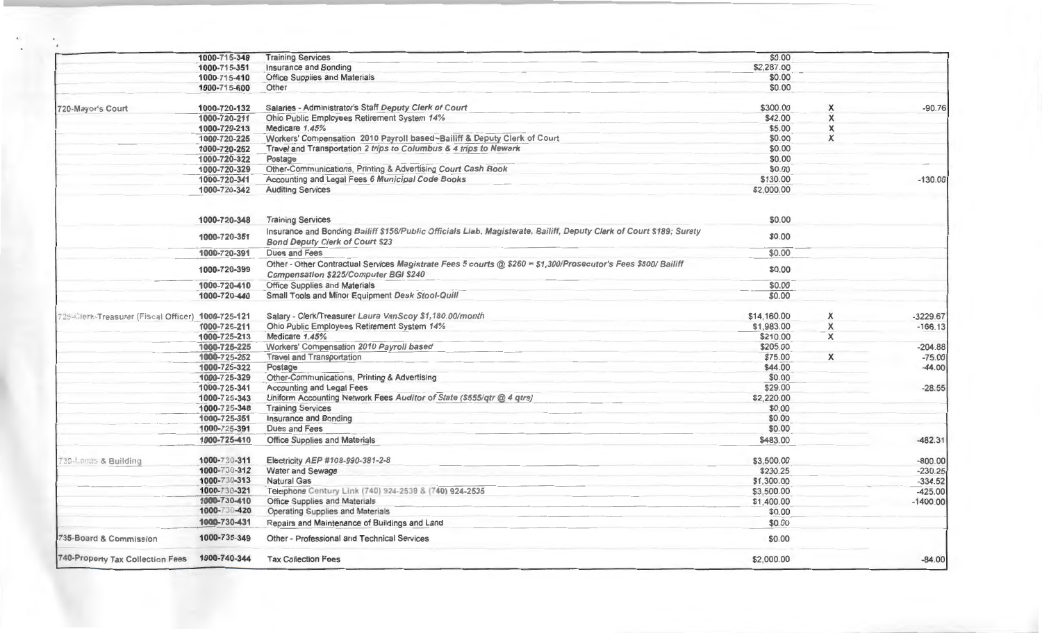|                                                   | 1000-715-348 | <b>Training Services</b>                                                                                                                                         | \$0.00      |   |            |
|---------------------------------------------------|--------------|------------------------------------------------------------------------------------------------------------------------------------------------------------------|-------------|---|------------|
|                                                   | 1000-715-351 | Insurance and Bonding                                                                                                                                            | \$2,287.00  |   |            |
|                                                   | 1000-715-410 | <b>Office Supplies and Materials</b>                                                                                                                             | \$0.00      |   |            |
|                                                   | 1000-715-600 | Other                                                                                                                                                            | \$0.00      |   |            |
| 720-Mayor's Court                                 | 1000-720-132 | Salaries - Administrator's Staff Deputy Clerk of Court                                                                                                           | \$300.00    | X | $-90.76$   |
|                                                   | 1000-720-211 | Ohio Public Employees Retirement System 14%                                                                                                                      | \$42.00     | X |            |
|                                                   | 1000-720-213 | Medicare 1.45%                                                                                                                                                   | \$5.00      | X |            |
|                                                   | 1000-720-225 | Workers' Compensation 2010 Payroll based~Bailiff & Deputy Clerk of Court                                                                                         | \$0.00      | X |            |
|                                                   | 1000-720-252 | Travel and Transportation 2 trips to Columbus & 4 trips to Newark                                                                                                | \$0.00      |   |            |
|                                                   | 1000-720-322 | Postage                                                                                                                                                          | \$0.00      |   |            |
|                                                   | 1000-720-329 | Other-Communications, Printing & Advertising Court Cash Book                                                                                                     | \$0.00      |   |            |
|                                                   | 1000-720-341 | Accounting and Legal Fees 6 Municipal Code Books                                                                                                                 | \$130.00    |   | $-130.00$  |
|                                                   | 1000-720-342 | <b>Auditing Services</b>                                                                                                                                         | \$2,000.00  |   |            |
|                                                   | 1000-720-348 | <b>Training Services</b>                                                                                                                                         | \$0.00      |   |            |
|                                                   | 1000-720-351 | Insurance and Bonding Bailiff \$156/Public Officials Liab. Magisterate, Bailiff, Deputy Clerk of Court \$189; Surety<br><b>Bond Deputy Clerk of Court \$23</b>   | \$0.00      |   |            |
|                                                   | 1000-720-391 | Dues and Fees                                                                                                                                                    | \$0.00      |   |            |
|                                                   | 1000-720-399 | Other - Other Contractual Services Magistrate Fees 5 courts $@$ \$260 = \$1,300/Prosecutor's Fees \$800/ Bailiff<br><b>Compensation \$225/Computer BGI \$240</b> | \$0.00      |   |            |
|                                                   | 1000-720-410 | Office Supplies and Materials                                                                                                                                    | \$0.00      |   |            |
|                                                   | 1000-720-440 | Small Tools and Minor Equipment Desk Stool-Quill                                                                                                                 | \$0.00      |   |            |
| 725-Clerk-Treasurer (Fiscal Officer) 1000-725-121 |              | Salary - Clerk/Treasurer Laura VanScoy \$1,180.00/month                                                                                                          | \$14,160.00 | X | $-3229.67$ |
|                                                   | 1000-725-211 | Ohio Public Employees Retirement System 14%                                                                                                                      | \$1,983.00  | X | $-166.13$  |
|                                                   | 1000-725-213 | Medicare 1.45%                                                                                                                                                   | \$210.00    | X |            |
|                                                   | 1000-725-225 | Workers' Compensation 2010 Payroll based                                                                                                                         | \$205.00    |   | $-204.88$  |
|                                                   | 1000-725-252 | <b>Travel and Transportation</b>                                                                                                                                 | \$75.00     | X | $-75.00$   |
|                                                   | 1000-725-322 | Postage                                                                                                                                                          | \$44.00     |   | $-44.00$   |
|                                                   | 1000-725-329 | Other-Communications, Printing & Advertising                                                                                                                     | \$0.00      |   |            |
|                                                   | 1000-725-341 | <b>Accounting and Legal Fees</b>                                                                                                                                 | \$29.00     |   | $-28.55$   |
|                                                   | 1000-725-343 | Uniform Accounting Network Fees Auditor of State (\$555/qtr @ 4 qtrs)                                                                                            | \$2,220.00  |   |            |
|                                                   | 1000-725-348 | <b>Training Services</b>                                                                                                                                         | \$0.00      |   |            |
|                                                   | 1000-725-351 | Insurance and Bonding                                                                                                                                            | \$0.00      |   |            |
|                                                   | 1000-725-391 | Dues and Fees                                                                                                                                                    | \$0.00      |   |            |
|                                                   | 1000-725-410 | <b>Office Supplies and Materials</b>                                                                                                                             | \$483.00    |   | $-482.31$  |
| 730-Lanus & Building                              | 1000-730-311 | Electricity AEP #108-990-381-2-8                                                                                                                                 | \$3,500.00  |   | $-800.00$  |
|                                                   | 1000-730-312 | Water and Sewage                                                                                                                                                 | \$230.25    |   | $-230.25$  |
|                                                   | 1000-730-313 | <b>Natural Gas</b>                                                                                                                                               | \$1,300.00  |   | $-334.52$  |
|                                                   | 1000-730-321 | Telephone Century Link (740) 924-2539 & (740) 924-2535                                                                                                           | \$3,500.00  |   | $-425.00$  |
|                                                   | 1000-730-410 | Office Supplies and Materials                                                                                                                                    | \$1,400.00  |   | $-1400.00$ |
|                                                   | 1000-730-420 | Operating Supplies and Materials                                                                                                                                 | \$0.00      |   |            |
|                                                   | 1000-730-431 | Repairs and Maintenance of Buildings and Land                                                                                                                    | \$0.00      |   |            |
| 735-Board & Commission                            | 1000-735-349 | Other - Professional and Technical Services                                                                                                                      | \$0.00      |   |            |
| 740-Property Tax Collection Fees 1000-740-344     |              | <b>Tax Collection Fees</b>                                                                                                                                       | \$2,000.00  |   | $-84.00$   |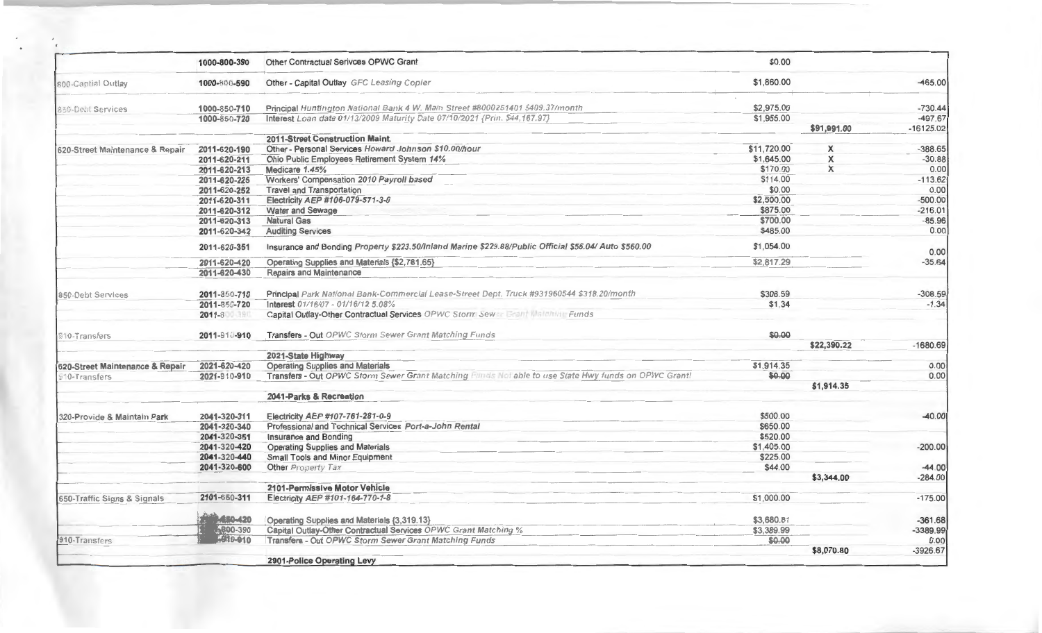|                                 | 1000-800-390   | Other Contractual Serivces OPWC Grant                                                                 | \$0.00      |             |             |
|---------------------------------|----------------|-------------------------------------------------------------------------------------------------------|-------------|-------------|-------------|
| 800-Captial Outlay              | 1000-800-590   | Other - Capital Outlay GFC Leasing Copier                                                             | \$1,860.00  |             | 465.00      |
| 850-Debt Services               | 1000-850-710   | Principal Huntington National Bank 4 W. Main Street #8000251401 \$409.37/month                        | \$2,975.00  |             | $-730.44$   |
|                                 | 1000-850-720   | Interest Loan date 01/13/2009 Maturity Date 07/10/2021 {Prin. \$44,167.97}                            | \$1,955.00  |             | $-497.67$   |
|                                 |                |                                                                                                       |             | \$91,991.00 | $-16125.02$ |
|                                 |                | 2011-Street Construction Maint.                                                                       |             |             |             |
| 620-Street Maintenance & Repair | 2011-620-190   | Other - Personal Services Howard Johnson \$10,00/hour                                                 | \$11,720.00 | X           | $-388.65$   |
|                                 | 2011-620-211   | Ohio Public Employees Retirement System 14%                                                           | \$1,645.00  | X           | $-30.88$    |
|                                 | 2011-620-213   | Medicare 1.45%                                                                                        | \$170.00    | $\times$    | 0.00        |
|                                 | 2011-620-225   | Workers' Compensation 2010 Payroll based                                                              | \$114.00    |             | $-113.62$   |
|                                 | 2011-620-252   | <b>Travel and Transportation</b>                                                                      | \$0.00      |             | 0.00        |
|                                 | 2011-620-311   | Electricity AEP #106-079-571-3-0                                                                      | \$2,500.00  |             | $-500.00$   |
|                                 | 2011-620-312   | <b>Water and Sewage</b>                                                                               | \$875.00    |             | $-216.01$   |
|                                 | 2011-620-313   | <b>Natural Gas</b>                                                                                    | \$700.00    |             | $-85.96$    |
|                                 | 2011-620-342   | <b>Auditing Services</b>                                                                              | \$485.00    |             | 0.00        |
|                                 | 2011-620-351   | Insurance and Bonding Property \$223.50/Inland Marine \$229.88/Public Official \$56.04/ Auto \$560.00 | \$1,054.00  |             | 0.00        |
|                                 | 2011-620-420   | Operating Supplies and Materials {\$2,781.65}                                                         | \$2,817.29  |             | $-35.64$    |
|                                 | 2011-620-430   | <b>Repairs and Maintenance</b>                                                                        |             |             |             |
|                                 |                |                                                                                                       |             |             |             |
| 850-Debt Services               | 2011-850-710   | Principal Park National Bank-Commercial Lease-Street Dept. Truck #931960544 \$318.20/month            | \$308.59    |             | $-308.59$   |
|                                 | 2011-850-720   | Interest 01/16/07 - 01/16/12 5.08%                                                                    | \$1.34      |             | $-1.34$     |
|                                 | $2011 - 8$     | Capital Outlay-Other Contractual Services OPWC Storm Sewer Grant Matchine Funds                       |             |             |             |
| <b>310-Transfers</b>            | 2011-910-910   | Transfers - Out OPWC Storm Sewer Grant Matching Funds                                                 | \$0.00      |             |             |
|                                 |                |                                                                                                       |             | \$22,390.22 | $-1680.69$  |
|                                 |                | 2021-State Highway                                                                                    |             |             |             |
| 620-Street Maintenance & Repair | 2021-620-420   | <b>Operating Supplies and Materials</b>                                                               | \$1,914.35  |             | 0.00        |
| 10-Transfers                    | 2021-910-910   | Transfers - Out OPWC Storm Sewer Grant Matching Funds Not able to use State Hwy funds on OPWC Grant!  | \$0.00      |             | 0.00        |
|                                 |                |                                                                                                       |             | \$1,914.35  |             |
|                                 |                | 2041-Parks & Recreation                                                                               |             |             |             |
|                                 |                |                                                                                                       | \$500.00    |             |             |
| 320-Provide & Maintain Park     | 2041-320-311   | Electricity AEP #107-761-281-0-9<br>Professional and Technical Services Port-a-John Rental            | \$650.00    |             | $-40.00$    |
|                                 | 2041-320-340   |                                                                                                       |             |             |             |
|                                 | 2041-320-351   | <b>Insurance and Bonding</b>                                                                          | \$520.00    |             |             |
|                                 | 2041-320-420   | <b>Operating Supplies and Materials</b>                                                               | \$1,405.00  |             | $-200.00$   |
|                                 | 2041-320-440   | Small Tools and Minor Equipment                                                                       | \$225.00    |             |             |
|                                 | 2041-320-600   | Other Property Tax                                                                                    | \$44.00     |             | $-44.00$    |
|                                 |                |                                                                                                       |             | \$3,344.00  | $-284.00$   |
| 650-Traffic Signs & Signals     |                | 2101-Permissive Motor Vehicle                                                                         |             |             |             |
|                                 | 2101-650-311   | Electricity AEP #101-164-770-1-8                                                                      | \$1,000.00  |             | $-175.00$   |
|                                 | <b>ASO-420</b> | Operating Supplies and Materials {3,319.13}                                                           | \$3,680.81  |             | $-361.68$   |
|                                 | 6800-390       | Capital Outlay-Other Contractual Services OPWC Grant Matching %                                       | \$3,389.99  |             | $-3389.99$  |
| 910-Transfers                   | -940-910       | Transfers - Out OPWC Storm Sewer Grant Matching Funds                                                 | \$0.00      |             | 0.00        |
|                                 |                |                                                                                                       |             | \$8,070.80  | $-3926.67$  |
|                                 |                | 2901-Police Operating Levy                                                                            |             |             |             |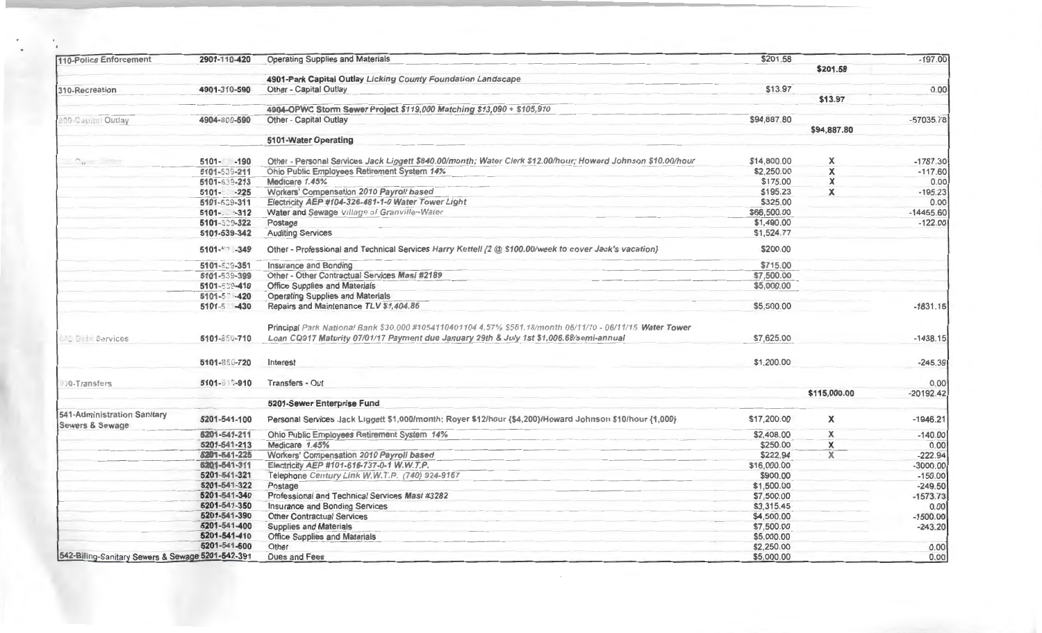| 110-Police Enforcement                            | 2901-110-420      | <b>Operating Supplies and Materials</b>                                                                      | \$201.58    |              | $-197.00$   |
|---------------------------------------------------|-------------------|--------------------------------------------------------------------------------------------------------------|-------------|--------------|-------------|
|                                                   |                   |                                                                                                              |             | \$201.58     |             |
|                                                   |                   | 4901-Park Capital Outlay Licking County Foundation Landscape                                                 |             |              |             |
| 310-Recreation                                    | 4901-310-590      | Other - Capital Outlay                                                                                       | \$13.97     |              | 0.00        |
|                                                   |                   |                                                                                                              |             | \$13.97      |             |
|                                                   |                   | 4904-OPWC Storm Sewer Project \$119,000 Matching \$13,090 + \$105,910                                        |             |              |             |
| 100-Capitel Outlay                                | 4904-800-590      | Other - Capital Outlay                                                                                       | \$94,887.80 |              | $-57035.78$ |
|                                                   |                   |                                                                                                              |             | \$94,887.80  |             |
|                                                   |                   | 5101-Water Operating                                                                                         |             |              |             |
| $\gamma_{\rm B}$ = $\gamma_{\rm B}$               | $5101 - 190$      | Other - Personal Services Jack Liggett \$840.00/month; Water Clerk \$12.00/hour; Howard Johnson \$10.00/hour | \$14,800.00 | X            | $-1787.30$  |
|                                                   | 5101-539-211      | Ohio Public Employees Retirement System 14%                                                                  | \$2,250.00  | X            | $-117.60$   |
|                                                   | 5101-539-213      | Medicare 1.45%                                                                                               | \$175.00    | X            | 0.00        |
|                                                   | $5101 - 225$      | Workers' Compensation 2010 Payroll based                                                                     | \$195.23    | $\times$     | $-195.23$   |
|                                                   | 5101-509-311      | Electricity AEP #104-326-481-1-0 Water Tower Light                                                           | \$325.00    |              | 0.00        |
|                                                   | $5101 - -312$     | Water and Sewage Village of Granville~Water                                                                  | \$66,500.00 |              | $-14455.60$ |
|                                                   | 5101-329-322      | Postage                                                                                                      | \$1,490.00  |              | $-122.00$   |
|                                                   | 5101-539-342      | <b>Auditing Services</b>                                                                                     | \$1,524.77  |              |             |
|                                                   | $5101 - x - 349$  | Other - Professional and Technical Services Harry Kettell {2 @ \$100.00/week to cover Jack's vacation}       | \$200.00    |              |             |
|                                                   | 5101-539-351      | Insurance and Bonding                                                                                        | \$715.00    |              |             |
|                                                   | 5101-539-399      | Other - Other Contractual Services Masi #2189                                                                | \$7,500.00  |              |             |
|                                                   | 5101-539-410      | <b>Office Supplies and Materials</b>                                                                         | \$5,000.00  |              |             |
|                                                   | $5101 - 5$ $-420$ | <b>Operating Supplies and Materials</b>                                                                      |             |              |             |
|                                                   | 5101-5 -430       | Repairs and Maintenance TLV \$1,404.86                                                                       | \$5,500.00  |              | $-1831.15$  |
|                                                   |                   |                                                                                                              |             |              |             |
|                                                   |                   | Principal Park National Bank \$30,000 #1054110401104 4.57% \$561.18/month 06/11/10 - 06/11/15 Water Tower    |             |              |             |
| <b>COptin Services</b>                            | 5101-850-710      | Loan CQ917 Maturity 07/01/17 Payment due January 29th & July 1st \$1,006.68/semi-annual                      | \$7,625.00  |              | $-1438.15$  |
|                                                   |                   |                                                                                                              | \$1,200.00  |              |             |
|                                                   | 5101-850-720      | Interest                                                                                                     |             |              | $-245.39$   |
| .0-Transfers                                      | $5101 - 2010$     | <b>Transfers - Out</b>                                                                                       |             |              | 0.00        |
|                                                   |                   |                                                                                                              |             | \$115,000.00 | $-20192.42$ |
|                                                   |                   | 5201-Sewer Enterprise Fund                                                                                   |             |              |             |
| 541-Administration Sanitary<br>Sewers & Sewage    | 5201-541-100      | Personal Services Jack Liggett \$1,000/month; Royer \$12/hour {\$4,200}/Howard Johnson \$10/hour {1,000}     | \$17,200.00 | $\mathsf{x}$ | $-1946.21$  |
|                                                   | 5201-541-211      | Ohio Public Employees Retirement System 14%                                                                  | \$2,408.00  | X            | $-140.00$   |
|                                                   | 5201-541-213      | Medicare 1.45%                                                                                               | \$250.00    | X            | 0.00        |
|                                                   | 6201-541-225      | Workers' Compensation 2010 Payroll based                                                                     | \$222.94    | $\mathbf x$  | $-222.94$   |
|                                                   | 6201-541-311      | Electricity AEP #101-616-737-0-1 W.W.T.P.                                                                    | \$16,000.00 |              | $-3000.00$  |
|                                                   | 5201-541-321      | Telephone Century Link W.W.T.P. (740) 924-9167                                                               | \$900.00    |              | $-150.00$   |
|                                                   | 5201-541-322      | Postage                                                                                                      | \$1,500.00  |              | $-249.50$   |
|                                                   | 5201-541-340      | Professional and Technical Services Masi #3282                                                               | \$7,500.00  |              | $-1573.73$  |
|                                                   | 5201-541-350      | <b>Insurance and Bonding Services</b>                                                                        | \$3,315.45  |              | 0.00        |
|                                                   | 5201-541-390      | <b>Other Contractual Services</b>                                                                            | \$4,500.00  |              | $-1500.00$  |
|                                                   | 5201-541-400      | <b>Supplies and Materials</b>                                                                                | \$7,500.00  |              | $-243.20$   |
|                                                   | 5201-541-410      | <b>Office Supplies and Materials</b>                                                                         | \$5,000.00  |              |             |
|                                                   | 5201-541-600      | Other                                                                                                        | \$2,250.00  |              | 0.00        |
| 542-Billing-Sanitary Sewers & Sewage 5201-542-391 |                   | Dues and Fees                                                                                                | \$5,000.00  |              | 0.00        |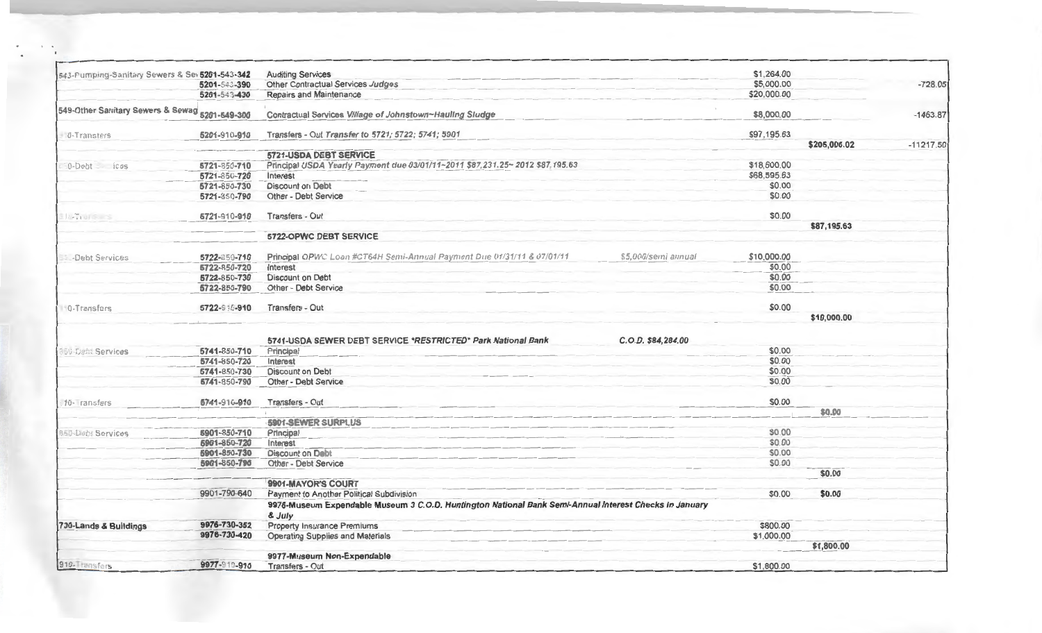| 543-Pumping-Sanitary Sewers & Sev 5201-543-342 |              | <b>Auditing Services</b>                                                                                         |                     | \$1,264.00  |              |             |
|------------------------------------------------|--------------|------------------------------------------------------------------------------------------------------------------|---------------------|-------------|--------------|-------------|
|                                                | 5201-543-390 | Other Contractual Services Judges                                                                                |                     | \$5,000.00  |              | $-728.05$   |
|                                                | 5201-543-430 | <b>Repairs and Maintenance</b>                                                                                   |                     | \$20,000.00 |              |             |
| 549-Other Sanitary Sewers & Sewag 5201-549-300 |              | Contractual Services Village of Johnstown~Hauling Sludge                                                         |                     | \$8,000.00  |              | $-1463.87$  |
| 0-Transters                                    | 5201-910-910 | Transfers - Out Transfer to 5721; 5722; 5741; 5901                                                               |                     | \$97,195.63 |              |             |
|                                                |              |                                                                                                                  |                     |             | \$205,006.02 | $-11217.50$ |
|                                                |              | 5721-USDA DEBT SERVICE                                                                                           |                     |             |              |             |
| 0-Debt ices                                    | 5721-850-710 | Principal USDA Yearly Payment due 03/01/11~2011 \$87,231.25~ 2012 \$87,195.63                                    |                     | \$18,600.00 |              |             |
|                                                | 5721-850-720 | Interest                                                                                                         |                     | \$68,595.63 |              |             |
|                                                | 5721-850-730 | <b>Discount on Debt</b>                                                                                          |                     | \$0.00      |              |             |
|                                                | 5721-850-790 | Other - Debt Service                                                                                             |                     | \$0.00      |              |             |
| $  \cdot  $                                    | 5721-910-910 | Transfers - Out                                                                                                  |                     | \$0.00      |              |             |
|                                                |              | 5722-OPWC DEBT SERVICE                                                                                           |                     |             | \$87,195.63  |             |
|                                                |              |                                                                                                                  |                     |             |              |             |
| <b>E</b> -Debt Services                        | 5722-850-710 | Principal OPWC Loan #CT64H Semi-Annual Payment Due 01/31/11 & 07/01/11                                           | \$5,000/semi annual | \$10,000.00 |              |             |
|                                                | 5722-850-720 | Interest                                                                                                         |                     | \$0.00      |              |             |
|                                                | 5722-850-730 | <b>Discount on Debt</b>                                                                                          |                     | \$0.00      |              |             |
|                                                | 5722-850-790 | Other - Debt Service                                                                                             |                     | \$0.00      |              |             |
| 10-Transfers                                   | 5722-910-910 | Transfers - Out                                                                                                  |                     | \$0.00      |              |             |
|                                                |              |                                                                                                                  |                     |             | \$10,000.00  |             |
|                                                |              | 5741-USDA SEWER DEBT SERVICE *RESTRICTED* Park National Bank                                                     | C.O.D. \$84,284.00  |             |              |             |
| <b>150-Debt Services</b>                       | 5741-850-710 | Principal                                                                                                        |                     | \$0.00      |              |             |
|                                                | 5741-850-720 | Interest                                                                                                         |                     | \$0.00      |              |             |
|                                                | 5741-850-730 | <b>Discount on Debt</b>                                                                                          |                     | \$0.00      |              |             |
|                                                | 5741-850-790 | Other - Debt Service                                                                                             |                     | \$0.00      |              |             |
| 10- ransfers                                   | 5741-910-910 | Transfers - Out                                                                                                  |                     | \$0.00      |              |             |
|                                                |              |                                                                                                                  |                     |             | \$0.00       |             |
|                                                |              | <b>5901-SEWER SURPLUS</b>                                                                                        |                     |             |              |             |
| 850-Deb: Services                              | 5901-850-710 | Principal                                                                                                        |                     | \$0.00      |              |             |
|                                                | 5901-850-720 | Interest                                                                                                         |                     | \$0.00      |              |             |
|                                                | 5901-850-730 | <b>Discount on Debt</b>                                                                                          |                     | \$0.00      |              |             |
|                                                | 5901-850-790 | Other - Debt Service                                                                                             |                     | \$0.00      |              |             |
|                                                |              |                                                                                                                  |                     |             | \$0.00       |             |
|                                                |              | 9901-MAYOR'S COURT                                                                                               |                     |             |              |             |
|                                                | 9901-790-640 | <b>Payment to Another Political Subdivision</b>                                                                  |                     | \$0.00      | \$0.00       |             |
|                                                |              | 9976-Museum Expendable Museum 3 C.O.D. Huntington National Bank Semi-Annual Interest Checks in January<br>& July |                     |             |              |             |
| 730-Lands & Buildings                          | 9976-730-352 | Property Insurance Premiums                                                                                      |                     | \$800.00    |              |             |
|                                                | 9976-730-420 | <b>Operating Supplies and Materials</b>                                                                          |                     | \$1,000.00  |              |             |
|                                                |              |                                                                                                                  |                     |             | \$1,800.00   |             |
|                                                |              | 9977-Museum Non-Expendable                                                                                       |                     |             |              |             |
| 910-Transfers                                  | 9977-910-010 | Transfers - Out                                                                                                  |                     | \$1,800.00  |              |             |